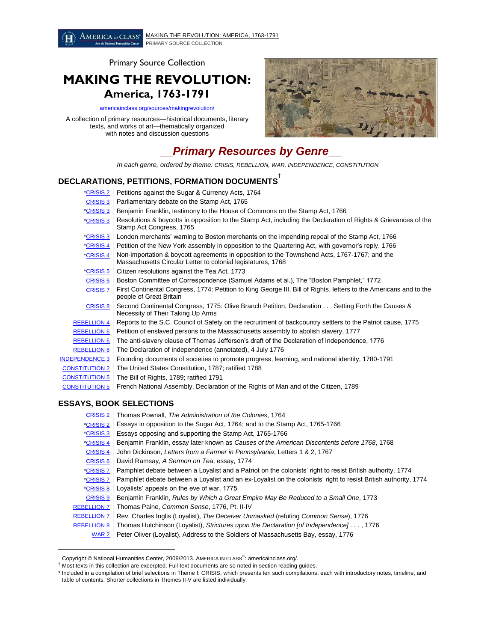AMERICA in CLASS<sup>®</sup> [MAKING THE REVOLUTION: AMERICA, 1763-1791](http://americainclass/sources/makingrevolution/) PRIMARY SOURCE COLLECTION

Primary Source Collection

## **MAKING THE REVOLUTION: America, 1763-1791**

[americainclass.org/sources/makingrevolution/](http://americainclass.org/sources/makingrevolution/)

A collection of primary resources—historical documents, literary texts, and works of art—thematically organized with notes and discussion questions



# **\_\_***Primary Resources by Genre***\_\_**

*In each genre, ordered by theme: CRISIS, REBELLION, WAR, INDEPENDENCE, CONSTITUTION*

## **DECLARATIONS, PETITIONS, FORMATION DOCUMENTS** †

| *CRISIS <sub>2</sub>  | Petitions against the Sugar & Currency Acts, 1764                                                                                                            |
|-----------------------|--------------------------------------------------------------------------------------------------------------------------------------------------------------|
| <b>CRISIS 3</b>       | Parliamentary debate on the Stamp Act, 1765                                                                                                                  |
| *CRISIS <sub>3</sub>  | Benjamin Franklin, testimony to the House of Commons on the Stamp Act, 1766                                                                                  |
| *CRISIS <sub>3</sub>  | Resolutions & boycotts in opposition to the Stamp Act, including the Declaration of Rights & Grievances of the<br>Stamp Act Congress, 1765                   |
| <u>*CRISIS 3</u>      | London merchants' warning to Boston merchants on the impending repeal of the Stamp Act, 1766                                                                 |
| *CRISIS 4             | Petition of the New York assembly in opposition to the Quartering Act, with governor's reply, 1766                                                           |
| *CRISIS 4             | Non-importation & boycott agreements in opposition to the Townshend Acts, 1767-1767; and the<br>Massachusetts Circular Letter to colonial legislatures, 1768 |
| *CRISIS 5             | Citizen resolutions against the Tea Act, 1773                                                                                                                |
| <b>CRISIS 6</b>       | Boston Committee of Correspondence (Samuel Adams et al.), The "Boston Pamphlet," 1772                                                                        |
| <b>CRISIS 7</b>       | First Continental Congress, 1774: Petition to King George III, Bill of Rights, letters to the Americans and to the<br>people of Great Britain                |
| <b>CRISIS 8</b>       | Second Continental Congress, 1775: Olive Branch Petition, Declaration Setting Forth the Causes &<br>Necessity of Their Taking Up Arms                        |
| <b>REBELLION 4</b>    | Reports to the S.C. Council of Safety on the recruitment of backcountry settlers to the Patriot cause, 1775                                                  |
| <b>REBELLION 6</b>    | Petition of enslaved persons to the Massachusetts assembly to abolish slavery, 1777                                                                          |
| <b>REBELLION 6</b>    | The anti-slavery clause of Thomas Jefferson's draft of the Declaration of Independence, 1776                                                                 |
| <b>REBELLION 8</b>    | The Declaration of Independence (annotated), 4 July 1776                                                                                                     |
| <b>INDEPENDENCE 3</b> | Founding documents of societies to promote progress, learning, and national identity, 1780-1791                                                              |
| <b>CONSTITUTION 2</b> | The United States Constitution, 1787; ratified 1788                                                                                                          |
| <b>CONSTITUTION 5</b> | The Bill of Rights, 1789; ratified 1791                                                                                                                      |
| <b>CONSTITUTION 5</b> | French National Assembly, Declaration of the Rights of Man and of the Citizen, 1789                                                                          |

### **ESSAYS, BOOK SELECTIONS**

 $\overline{a}$ 

[CRISIS 2](http://americainclass.org/sources/makingrevolution/crisis/text2/text2.htm) Thomas Pownall, *The Administration of the Colonies*, 1764 [\\*CRISIS 2](http://americainclass.org/sources/makingrevolution/crisis/text2/text2.htm) Essays in opposition to the Sugar Act, 1764; and to the Stamp Act, 1765-1766 [\\*CRISIS 3](http://americainclass.org/sources/makingrevolution/crisis/text3/text3.htm) Essays opposing and supporting the Stamp Act, 1765-1766 [\\*CRISIS 4](http://americainclass.org/sources/makingrevolution/crisis/text4/text4.htm) Benjamin Franklin, essay later known as *Causes of the American Discontents before 1768*, 1768 [CRISIS 4](http://americainclass.org/sources/makingrevolution/crisis/text4/text4.htm) John Dickinson, *Letters from a Farmer in Pennsylvania*, Letters 1 & 2, 1767 [CRISIS 6](http://americainclass.org/sources/makingrevolution/crisis/text6/text6.htm) David Ramsay, *A Sermon on Tea*, essay, 1774  $|C$ RISIS 7 Pamphlet debate between a Loyalist and a Patriot on the colonists' right to resist British authority, 1774 [\\*CRISIS 7](http://americainclass.org/sources/makingrevolution/crisis/text7/text7.htm) Pamphlet debate between a Loyalist and an ex-Loyalist on the colonists' right to resist British authority, 1774 [\\*CRISIS 8](http://americainclass.org/sources/makingrevolution/crisis/text8/text8.htm) | Loyalists' appeals on the eve of war, 1775 [CRISIS 9](http://americainclass.org/sources/makingrevolution/crisis/text9/text9.htm) Benjamin Franklin, *Rules by Which a Great Empire May Be Reduced to a Small One*, 1773 [REBELLION 7](http://americainclass.org/sources/makingrevolution/rebellion/text7/text7.htm) Thomas Paine, *Common Sense*, 1776, Pt. II-IV [REBELLION 7](http://americainclass.org/sources/makingrevolution/rebellion/text7/text7.htm) Rev. Charles Inglis (Loyalist), *The Deceiver Unmasked* (refuting *Common Sense*), 1776 [REBELLION 8](http://americainclass.org/sources/makingrevolution/rebellion/text8/text8.htm) Thomas Hutchinson (Loyalist), *Strictures upon the Declaration [of Independence] . .* . , 1776 [WAR 2](http://americainclass.org/sources/makingrevolution/war/text2/text2.htm) | Peter Oliver (Loyalist), Address to the Soldiers of Massachusetts Bay, essay, 1776

Copyright © National Humanities Center, 2009/2013. AMERICA IN CLASS<sup>®</sup>: americainclass.org/.

<sup>&</sup>lt;sup>†</sup> Most texts in this collection are excerpted. Full-text documents are so noted in section reading guides.

<sup>\*</sup> Included in a compilation of brief selections in Theme I: CRISIS, which presents ten such compilations, each with introductory notes, timeline, and table of contents. Shorter collections in Themes II-V are listed individually.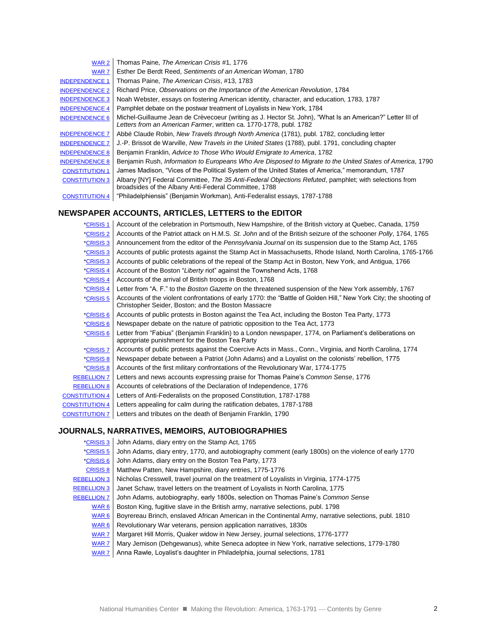| WAR <sub>2</sub>      | Thomas Paine, The American Crisis #1, 1776                                                                                                                                      |
|-----------------------|---------------------------------------------------------------------------------------------------------------------------------------------------------------------------------|
| WAR <sub>7</sub>      | Esther De Berdt Reed, Sentiments of an American Woman, 1780                                                                                                                     |
| <b>INDEPENDENCE 1</b> | Thomas Paine, The American Crisis, #13, 1783                                                                                                                                    |
| <b>INDEPENDENCE 2</b> | Richard Price, Observations on the Importance of the American Revolution, 1784                                                                                                  |
| <b>INDEPENDENCE 3</b> | Noah Webster, essays on fostering American identity, character, and education, 1783, 1787                                                                                       |
| <b>INDEPENDENCE 4</b> | Pamphlet debate on the postwar treatment of Loyalists in New York, 1784                                                                                                         |
| <b>INDEPENDENCE 6</b> | Michel-Guillaume Jean de Crèvecoeur (writing as J. Hector St. John), "What Is an American?" Letter III of<br>Letters from an American Farmer, written ca. 1770-1778, publ. 1782 |
| <b>INDEPENDENCE 7</b> | Abbé Claude Robin, New Travels through North America (1781), publ. 1782, concluding letter                                                                                      |
| <b>INDEPENDENCE 7</b> | J.-P. Brissot de Warville, New Travels in the United States (1788), publ. 1791, concluding chapter                                                                              |
| <b>INDEPENDENCE 8</b> | Benjamin Franklin, Advice to Those Who Would Emigrate to America, 1782                                                                                                          |
| <b>INDEPENDENCE 8</b> | Benjamin Rush, Information to Europeans Who Are Disposed to Migrate to the United States of America, 1790                                                                       |
| <b>CONSTITUTION 1</b> | James Madison, "Vices of the Political System of the United States of America," memorandum, 1787                                                                                |
| <b>CONSTITUTION 3</b> | Albany [NY] Federal Committee, The 35 Anti-Federal Objections Refuted, pamphlet; with selections from<br>broadsides of the Albany Anti-Federal Committee, 1788                  |
| <b>CONSTITUTION 4</b> | "Philadelphiensis" (Benjamin Workman), Anti-Federalist essays, 1787-1788                                                                                                        |

## **NEWSPAPER ACCOUNTS, ARTICLES, LETTERS to the EDITOR**

| *CRISIS 1               | Account of the celebration in Portsmouth, New Hampshire, of the British victory at Quebec, Canada, 1759                                                                  |
|-------------------------|--------------------------------------------------------------------------------------------------------------------------------------------------------------------------|
| *CRISIS <sub>2</sub>    | Accounts of the Patriot attack on H.M.S. St. John and of the British seizure of the schooner Polly, 1764, 1765                                                           |
| *CRISIS <sub>3</sub>    | Announcement from the editor of the Pennsylvania Journal on its suspension due to the Stamp Act, 1765                                                                    |
| *CRISIS <sub>3</sub>    | Accounts of public protests against the Stamp Act in Massachusetts, Rhode Island, North Carolina, 1765-1766                                                              |
| *CRISIS 3               | Accounts of public celebrations of the repeal of the Stamp Act in Boston, New York, and Antigua, 1766                                                                    |
| *CRISIS 4               | Account of the Boston "Liberty riot" against the Townshend Acts, 1768                                                                                                    |
| <i><b>*CRISIS 4</b></i> | Accounts of the arrival of British troops in Boston, 1768                                                                                                                |
| *CRISIS 4               | Letter from "A. F." to the Boston Gazette on the threatened suspension of the New York assembly, 1767                                                                    |
| *CRISIS 5               | Accounts of the violent confrontations of early 1770: the "Battle of Golden Hill," New York City; the shooting of<br>Christopher Seider, Boston; and the Boston Massacre |
| *CRISIS 6               | Accounts of public protests in Boston against the Tea Act, including the Boston Tea Party, 1773                                                                          |
| *CRISIS 6               | Newspaper debate on the nature of patriotic opposition to the Tea Act, 1773                                                                                              |
| *CRISIS 6               | Letter from "Fabius" (Benjamin Franklin) to a London newspaper, 1774, on Parliament's deliberations on<br>appropriate punishment for the Boston Tea Party                |
| *CRISIS 7               | Accounts of public protests against the Coercive Acts in Mass., Conn., Virginia, and North Carolina, 1774                                                                |
| *CRISIS 8               | Newspaper debate between a Patriot (John Adams) and a Loyalist on the colonists' rebellion, 1775                                                                         |
| *CRISIS 8               | Accounts of the first military confrontations of the Revolutionary War, 1774-1775                                                                                        |
| <b>REBELLION 7</b>      | Letters and news accounts expressing praise for Thomas Paine's Common Sense, 1776                                                                                        |
| <b>REBELLION 8</b>      | Accounts of celebrations of the Declaration of Independence, 1776                                                                                                        |
| <b>CONSTITUTION 4</b>   | Letters of Anti-Federalists on the proposed Constitution, 1787-1788                                                                                                      |
| <b>CONSTITUTION 4</b>   | Letters appealing for calm during the ratification debates, 1787-1788                                                                                                    |
| <b>CONSTITUTION 7</b>   | Letters and tributes on the death of Benjamin Franklin, 1790                                                                                                             |

## **JOURNALS, NARRATIVES, MEMOIRS, AUTOBIOGRAPHIES**

| John Adams, diary entry, 1770, and autobiography comment (early 1800s) on the violence of early 1770<br>*CRISIS 5<br>John Adams, diary entry on the Boston Tea Party, 1773<br>*CRISIS 6<br>Matthew Patten, New Hampshire, diary entries, 1775-1776<br><b>CRISIS 8</b><br>Nicholas Cresswell, travel journal on the treatment of Loyalists in Virginia, 1774-1775<br><b>REBELLION 3</b><br>Janet Schaw, travel letters on the treatment of Loyalists in North Carolina, 1775<br><b>REBELLION 3</b> |
|---------------------------------------------------------------------------------------------------------------------------------------------------------------------------------------------------------------------------------------------------------------------------------------------------------------------------------------------------------------------------------------------------------------------------------------------------------------------------------------------------|
|                                                                                                                                                                                                                                                                                                                                                                                                                                                                                                   |
|                                                                                                                                                                                                                                                                                                                                                                                                                                                                                                   |
|                                                                                                                                                                                                                                                                                                                                                                                                                                                                                                   |
|                                                                                                                                                                                                                                                                                                                                                                                                                                                                                                   |
|                                                                                                                                                                                                                                                                                                                                                                                                                                                                                                   |
| John Adams, autobiography, early 1800s, selection on Thomas Paine's Common Sense<br><b>REBELLION 7</b>                                                                                                                                                                                                                                                                                                                                                                                            |
| Boston King, fugitive slave in the British army, narrative selections, publ. 1798<br>WAR <sub>6</sub>                                                                                                                                                                                                                                                                                                                                                                                             |
| Boyrereau Brinch, enslaved African American in the Continental Army, narrative selections, publ. 1810<br>WAR <sub>6</sub>                                                                                                                                                                                                                                                                                                                                                                         |
| Revolutionary War veterans, pension application narratives, 1830s<br>WAR <sub>6</sub>                                                                                                                                                                                                                                                                                                                                                                                                             |
| Margaret Hill Morris, Quaker widow in New Jersey, journal selections, 1776-1777<br>WAR <sub>7</sub>                                                                                                                                                                                                                                                                                                                                                                                               |
| Mary Jemison (Dehgewanus), white Seneca adoptee in New York, narrative selections, 1779-1780<br>WAR <sub>7</sub>                                                                                                                                                                                                                                                                                                                                                                                  |
| Anna Rawle, Loyalist's daughter in Philadelphia, journal selections, 1781<br>WAR <sub>7</sub>                                                                                                                                                                                                                                                                                                                                                                                                     |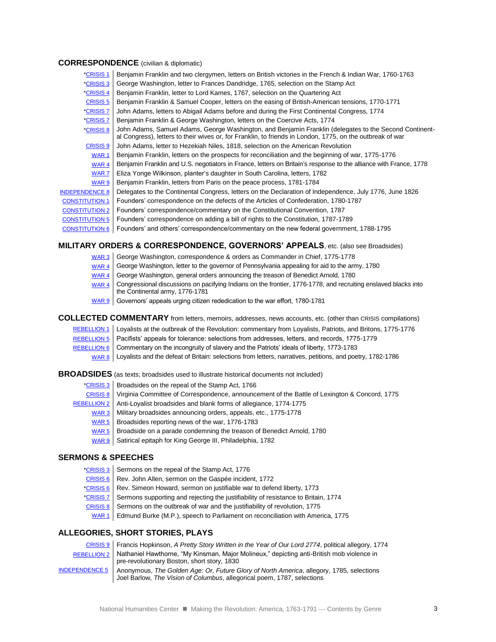#### **CORRESPONDENCE** (civilian & diplomatic)

| *CRISIS 1             | Benjamin Franklin and two clergymen, letters on British victories in the French & Indian War, 1760-1763                                                                                                             |
|-----------------------|---------------------------------------------------------------------------------------------------------------------------------------------------------------------------------------------------------------------|
| *CRISIS 3             | George Washington, letter to Frances Dandridge, 1765, selection on the Stamp Act                                                                                                                                    |
| *CRISIS 4             | Benjamin Franklin, letter to Lord Kames, 1767, selection on the Quartering Act                                                                                                                                      |
| <b>CRISIS 5</b>       | Benjamin Franklin & Samuel Cooper, letters on the easing of British-American tensions, 1770-1771                                                                                                                    |
| *CRISIS 7             | John Adams, letters to Abigail Adams before and during the First Continental Congress, 1774                                                                                                                         |
| *CRISIS 7             | Benjamin Franklin & George Washington, letters on the Coercive Acts, 1774                                                                                                                                           |
| *CRISIS 8             | John Adams, Samuel Adams, George Washington, and Benjamin Franklin (delegates to the Second Continent-<br>al Congress), letters to their wives or, for Franklin, to friends in London, 1775, on the outbreak of war |
| <b>CRISIS 9</b>       | John Adams, letter to Hezekiah Niles, 1818, selection on the American Revolution                                                                                                                                    |
| WAR <sub>1</sub>      | Benjamin Franklin, letters on the prospects for reconciliation and the beginning of war, 1775-1776                                                                                                                  |
| WAR 4                 | Benjamin Franklin and U.S. negotiators in France, letters on Britain's response to the alliance with France, 1778                                                                                                   |
| WAR <sub>7</sub>      | Eliza Yonge Wilkinson, planter's daughter in South Carolina, letters, 1782                                                                                                                                          |
| WAR <sub>9</sub>      | Benjamin Franklin, letters from Paris on the peace process, 1781-1784                                                                                                                                               |
| <b>INDEPENDENCE 8</b> | Delegates to the Continental Congress, letters on the Declaration of Independence, July 1776, June 1826                                                                                                             |
| <b>CONSTITUTION 1</b> | Founders' correspondence on the defects of the Articles of Confederation, 1780-1787                                                                                                                                 |
| <b>CONSTITUTION 2</b> | Founders' correspondence/commentary on the Constitutional Convention, 1787                                                                                                                                          |
| <b>CONSTITUTION 5</b> | Founders' correspondence on adding a bill of rights to the Constitution, 1787-1789                                                                                                                                  |
| <b>CONSTITUTION 6</b> | Founders' and others' correspondence/commentary on the new federal government, 1788-1795                                                                                                                            |

#### **MILITARY ORDERS & CORRESPONDENCE, GOVERNORS' APPEALS**, etc. (also see Broadsides)

- [WAR 3](http://americainclass.org/sources/makingrevolution/war/text3/text3.htm) George Washington, correspondence & orders as Commander in Chief, 1775-1778
- [WAR 4](http://americainclass.org/sources/makingrevolution/war/text4/text4.htm) George Washington, letter to the governor of Pennsylvania appealing for aid to the army, 1780
- [WAR 4](http://americainclass.org/sources/makingrevolution/war/text4/text4.htm) George Washington, general orders announcing the treason of Benedict Arnold, 1780
- [WAR 4](http://americainclass.org/sources/makingrevolution/war/text4/text4.htm) Congressional discussions on pacifying Indians on the frontier, 1776-1778, and recruiting enslaved blacks into the Continental army, 1776-1781
- [WAR 9](http://americainclass.org/sources/makingrevolution/war/text9/text9.htm) Governors' appeals urging citizen rededication to the war effort, 1780-1781

#### **COLLECTED COMMENTARY** from letters, memoirs, addresses, news accounts, etc. (other than CRISIS compilations)

[REBELLION 1](http://americainclass.org/sources/makingrevolution/rebellion/text1/text1.htm) | Loyalists at the outbreak of the Revolution: commentary from Loyalists, Patriots, and Britons, 1775-1776 [REBELLION 5](http://americainclass.org/sources/makingrevolution/rebellion/text5/text5.htm) | Pacifists' appeals for tolerance: selections from addresses, letters, and records, 1775-1779 [REBELLION 6](http://americainclass.org/sources/makingrevolution/rebellion/text6/text6.htm) Commentary on the incongruity of slavery and the Patriots' ideals of liberty, 1773-1783 [WAR 8](http://americainclass.org/sources/makingrevolution/war/text8/text8.htm) Loyalists and the defeat of Britain: selections from letters, narratives, petitions, and poetry, 1782-1786

**BROADSIDES** (as texts; broadsides used to illustrate historical documents not included)

- [\\*CRISIS 3](http://americainclass.org/sources/makingrevolution/crisis/text3/text3.htm) | Broadsides on the repeal of the Stamp Act, 1766
- [CRISIS 8](http://americainclass.org/sources/makingrevolution/crisis/text8/text8.htm) Virginia Committee of Correspondence, announcement of the Battle of Lexington & Concord, 1775
- [REBELLION 2](http://americainclass.org/sources/makingrevolution/rebellion/text2/text2.htm) | Anti-Loyalist broadsides and blank forms of allegiance, 1774-1775
	- [WAR 3](http://americainclass.org/sources/makingrevolution/war/text3/text3.htm) Military broadsides announcing orders, appeals, etc., 1775-1778
	- [WAR 5](http://americainclass.org/sources/makingrevolution/war/text5/text5.htm) | Broadsides reporting news of the war, 1776-1783
	- [WAR 5](http://americainclass.org/sources/makingrevolution/war/text5/text5.htm) Broadside on a parade condemning the treason of Benedict Arnold, 1780
	- [WAR 9](http://americainclass.org/sources/makingrevolution/war/text9/text9.htm) Satirical epitaph for King George III, Philadelphia, 1782

#### **SERMONS & SPEECHES**

| *CRISIS 3 Sermons on the repeal of the Stamp Act, 1776                                       |
|----------------------------------------------------------------------------------------------|
| CRISIS 6   Rev. John Allen, sermon on the Gaspée incident, 1772                              |
| *CRISIS 6   Rev. Simeon Howard, sermon on justifiable war to defend liberty, 1773            |
| *CRISIS 7 Sermons supporting and rejecting the justifiability of resistance to Britain, 1774 |
| $CRISIS 8$ Sermons on the outbreak of war and the justifiability of revolution, 1775         |
| WAR 1 Edmund Burke (M.P.), speech to Parliament on reconciliation with America, 1775         |
|                                                                                              |

#### **ALLEGORIES, SHORT STORIES, PLAYS**

[CRISIS 9](http://americainclass.org/sources/makingrevolution/crisis/text9/text9.htm) Francis Hopkinson, *A Pretty Story Written in the Year of Our Lord 2774*, political allegory, 1774 [REBELLION 2](http://americainclass.org/sources/makingrevolution/rebellion/text2/text2.htm) Nathaniel Hawthorne, "My Kinsman, Major Molineux," depicting anti-British mob violence in pre-revolutionary Boston, short story, 1830 [INDEPENDENCE 5](http://americainclass.org/sources/makingrevolution/independence/text5/text5.htm) Anonymous, *The Golden Age: Or, Future Glory of North America*, allegory, 1785, selections Joel Barlow, *The Vision of Columbus*, allegorical poem, 1787, selections